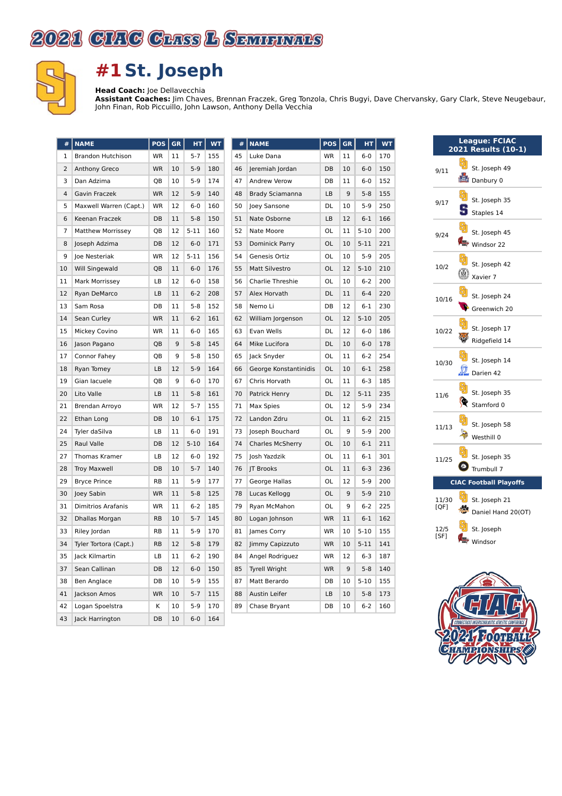



## **#1 St. Joseph**

**Head Coach:** Joe Dellavecchia

**Assistant Coaches:** Jim Chaves, Brennan Fraczek, Greg Tonzola, Chris Bugyi, Dave Chervansky, Gary Clark, Steve Neugebaur, John Finan, Rob Piccuillo, John Lawson, Anthony Della Vecchia

| #              | <b>NAME</b>               | POS       | GR | HТ       | <b>WT</b> |
|----------------|---------------------------|-----------|----|----------|-----------|
| 1              | <b>Brandon Hutchison</b>  | <b>WR</b> | 11 | $5 - 7$  | 155       |
| 2              | <b>Anthony Greco</b>      | <b>WR</b> | 10 | 5-9      | 180       |
| 3              | Dan Adzima                | QB        | 10 | $5-9$    | 174       |
| $\overline{4}$ | Gavin Fraczek             | <b>WR</b> | 12 | $5-9$    | 140       |
| 5              | Maxwell Warren (Capt.)    | WR        | 12 | 6-0      | 160       |
| 6              | Keenan Fraczek            | DB        | 11 | $5 - 8$  | 150       |
| 7              | <b>Matthew Morrissey</b>  | QB        | 12 | $5 - 11$ | 160       |
| 8              | Joseph Adzima             | DB        | 12 | $6-0$    | 171       |
| 9              | Joe Nesteriak             | WR        | 12 | $5 - 11$ | 156       |
| 10             | Will Singewald            | QB        | 11 | $6-0$    | 176       |
| 11             | Mark Morrissey            | LВ        | 12 | $6-0$    | 158       |
| 12             | Ryan DeMarco              | LВ        | 11 | $6 - 2$  | 208       |
| 13             | Sam Rosa                  | DB        | 11 | $5-8$    | 152       |
| 14             | Sean Curley               | <b>WR</b> | 11 | $6 - 2$  | 161       |
| 15             | Mickey Covino             | WR        | 11 | $6-0$    | 165       |
| 16             | Jason Pagano              | QB        | 9  | $5 - 8$  | 145       |
| 17             | Connor Fahey              | QВ        | 9  | $5-8$    | 150       |
| 18             | Ryan Tomey                | LB        | 12 | $5-9$    | 164       |
| 19             | Gian lacuele              | QB        | 9  | $6-0$    | 170       |
| 20             | Lito Valle                | LB        | 11 | $5 - 8$  | 161       |
| 21             | Brendan Arroyo            | <b>WR</b> | 12 | $5 - 7$  | 155       |
| 22             | Ethan Long                | DB        | 10 | $6 - 1$  | 175       |
| 24             | Tyler daSilva             | LB        | 11 | $6 - 0$  | 191       |
| 25             | Raul Valle                | DB        | 12 | $5 - 10$ | 164       |
| 27             | Thomas Kramer             | LВ        | 12 | $6 - 0$  | 192       |
| 28             | <b>Troy Maxwell</b>       | DB        | 10 | $5 - 7$  | 140       |
| 29             | <b>Bryce Prince</b>       | RB        | 11 | $5-9$    | 177       |
| 30             | Joey Sabin                | <b>WR</b> | 11 | $5 - 8$  | 125       |
| 31             | <b>Dimitrios Arafanis</b> | WR        | 11 | $6 - 2$  | 185       |
| 32             | Dhallas Morgan            | <b>RB</b> | 10 | $5 - 7$  | 145       |
| 33             | Riley Jordan              | RB        | 11 | 5-9      | 170       |
| 34             | Tyler Tortora (Capt.)     | <b>RB</b> | 12 | $5 - 8$  | 179       |
| 35             | Jack Kilmartin            | LB        | 11 | $6 - 2$  | 190       |
| 37             | Sean Callinan             | DB        | 12 | $6-0$    | 150       |
| 38             | Ben Anglace               | DB        | 10 | $5-9$    | 155       |
| 41             | Jackson Amos              | <b>WR</b> | 10 | 5-7      | 115       |
| 42             | Logan Spoelstra           | Κ         | 10 | 5-9      | 170       |
| 43             | Jack Harrington           | DB        | 10 | $6-0$    | 164       |

| <b>NAME</b>             | POS       | GR | HТ       | WT  |  |  |
|-------------------------|-----------|----|----------|-----|--|--|
| Luke Dana               | <b>WR</b> | 11 | $6-0$    | 170 |  |  |
| Jeremiah Jordan         | DB        | 10 | $6-0$    | 150 |  |  |
| Andrew Verow            | DB        | 11 | $6-0$    | 152 |  |  |
| <b>Brady Sciamanna</b>  | LB        | 9  | $5 - 8$  | 155 |  |  |
| Joey Sansone            | DL        | 10 | 5-9      | 250 |  |  |
| Nate Osborne            | LB        | 12 | $6 - 1$  | 166 |  |  |
| Nate Moore              | OL        | 11 | $5 - 10$ | 200 |  |  |
| Dominick Parry          | OL        | 10 | $5 - 11$ | 221 |  |  |
| Genesis Ortiz           | OL        | 10 | $5-9$    | 205 |  |  |
| <b>Matt Silvestro</b>   | OL        | 12 | $5 - 10$ | 210 |  |  |
| Charlie Threshie        | OL        | 10 | $6-2$    | 200 |  |  |
| Alex Horvath            | DL        | 11 | $6 - 4$  | 220 |  |  |
| Nemo Li                 | DB        | 12 | $6 - 1$  | 230 |  |  |
| William Jorgenson       | OL        | 12 | $5 - 10$ | 205 |  |  |
| Evan Wells              | DL        | 12 | $6-0$    | 186 |  |  |
| Mike Lucifora           | DL        | 10 | $6-0$    | 178 |  |  |
| Jack Snyder             | OL        | 11 | $6 - 2$  | 254 |  |  |
| George Konstantinidis   | OL        | 10 | $6 - 1$  | 258 |  |  |
| Chris Horvath           | OL        | 11 | $6 - 3$  | 185 |  |  |
| Patrick Henry           | DL        | 12 | $5 - 11$ | 235 |  |  |
| Max Spies               | OL        | 12 | 5-9      | 234 |  |  |
| Landon Zdru             | OL        | 11 | $6 - 2$  | 215 |  |  |
| Joseph Bouchard         | OL        | 9  | $5-9$    | 200 |  |  |
| <b>Charles McSherry</b> | OL        | 10 | $6 - 1$  | 211 |  |  |
| Josh Yazdzik            | OL        | 11 | $6 - 1$  | 301 |  |  |
| JT Brooks               | OL        | 11 | $6 - 3$  | 236 |  |  |
| George Hallas           | OL        | 12 | $5-9$    | 200 |  |  |
| Lucas Kellogg           | OL        | 9  | 5-9      | 210 |  |  |
| Ryan McMahon            | OL        | 9  | $6 - 2$  | 225 |  |  |
| Logan Johnson           | WR        | 11 | $6 - 1$  | 162 |  |  |
| James Corry             | <b>WR</b> | 10 | $5 - 10$ | 155 |  |  |
| Jimmy Capizzuto         | <b>WR</b> | 10 | $5 - 11$ | 141 |  |  |
| Angel Rodriguez         | WR        | 12 | $6 - 3$  | 187 |  |  |
| <b>Tyrell Wright</b>    | <b>WR</b> | 9  | $5-8$    | 140 |  |  |
| Matt Berardo            | DB        | 10 | $5-10$   | 155 |  |  |
| Austin Leifer           | LB        | 10 | $5 - 8$  | 173 |  |  |
| Chase Bryant            | DB        | 10 | 6-2      | 160 |  |  |
|                         |           |    |          |     |  |  |